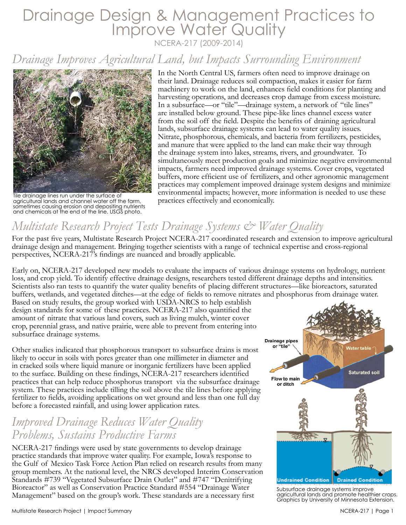# Drainage Design & Management Practices to Improve Water Quality NCERA-217 (2009-2014)

*Drainage Improves Agricultural Land, but Impacts Surrounding Environment*



Tile drainage lines run under the surface of agricultural lands and channel water off the farm, sometimes causing erosion and depositing nutrients and chemicals at the end of the line. USGS photo.

In the North Central US, farmers often need to improve drainage on their land. Drainage reduces soil compaction, makes it easier for farm machinery to work on the land, enhances field conditions for planting and harvesting operations, and decreases crop damage from excess moisture. In a subsurface—or "tile"—drainage system, a network of "tile lines" are installed below ground. These pipe-like lines channel excess water from the soil off the field. Despite the benefits of draining agricultural lands, subsurface drainage systems can lead to water quality issues. Nitrate, phosphorous, chemicals, and bacteria from fertilizers, pesticides, and manure that were applied to the land can make their way through the drainage system into lakes, streams, rivers, and groundwater. To simultaneously meet production goals and minimize negative environmental impacts, farmers need improved drainage systems. Cover crops, vegetated buffers, more efficient use of fertilizers, and other agronomic management practices may complement improved drainage system designs and minimize environmental impacts; however, more information is needed to use these practices effectively and economically.

## *Multistate Research Project Tests Drainage Systems & Water Quality*

For the past five years, Multistate Research Project NCERA-217 coordinated research and extension to improve agricultural drainage design and management. Bringing together scientists with a range of technical expertise and cross-regional perspectives, NCERA-217's findings are nuanced and broadly applicable.

Early on, NCERA-217 developed new models to evaluate the impacts of various drainage systems on hydrology, nutrient loss, and crop yield. To identify effective drainage designs, researchers tested different drainage depths and intensities. Scientists also ran tests to quantify the water quality benefits of placing different structures—like bioreactors, saturated buffers, wetlands, and vegetated ditches—at the edge of fields to remove nitrates and phosphorus from drainage water.

Based on study results, the group worked with USDA-NRCS to help establish design standards for some of these practices. NCERA-217 also quantified the amount of nitrate that various land covers, such as living mulch, winter cover crop, perennial grass, and native prairie, were able to prevent from entering into subsurface drainage systems.

Other studies indicated that phosphorous transport to subsurface drains is most likely to occur in soils with pores greater than one millimeter in diameter and in cracked soils where liquid manure or inorganic fertilizers have been applied to the surface. Building on these findings, NCERA-217 researchers identified practices that can help reduce phosphorus transport via the subsurface drainage system. These practices include tilling the soil above the tile lines before applying fertilizer to fields, avoiding applications on wet ground and less than one full day before a forecasted rainfall, and using lower application rates.

#### *Improved Drainage Reduces Water Quality Problems, Sustains Productive Farms*

NCERA-217 findings were used by state governments to develop drainage practice standards that improve water quality. For example, Iowa's response to the Gulf of Mexico Task Force Action Plan relied on research results from many group members. At the national level, the NRCS developed Interim Conservation Standards #739 "Vegetated Subsurface Drain Outlet" and #747 "Denitrifying Bioreactor" as well as Conservation Practice Standard #554 "Drainage Water Management" based on the group's work. These standards are a necessary first



Subsurface drainage systems improve agricultural lands and promote healthier crops. Graphics by University of Minnesota Extension.